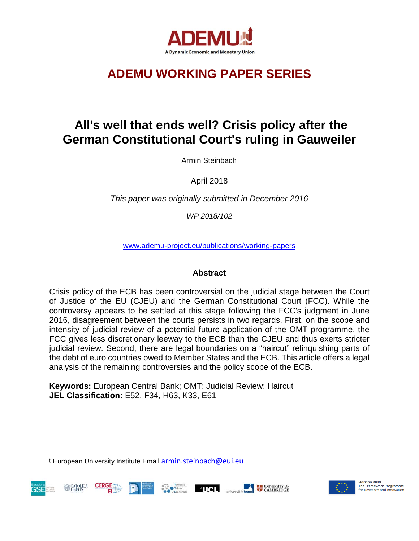

# **ADEMU WORKING PAPER SERIES**

# **All's well that ends well? Crisis policy after the German Constitutional Court's ruling in Gauweiler**

Armin Steinbach†

April 2018

*This paper was originally submitted in December 2016*

*WP 2018/102*

[www.ademu-project.eu/publications/working-papers](http://www.ademu-project.eu/publications/working-papers)

# **Abstract**

Crisis policy of the ECB has been controversial on the judicial stage between the Court of Justice of the EU (CJEU) and the German Constitutional Court (FCC). While the controversy appears to be settled at this stage following the FCC's judgment in June 2016, disagreement between the courts persists in two regards. First, on the scope and intensity of judicial review of a potential future application of the OMT programme, the FCC gives less discretionary leeway to the ECB than the CJEU and thus exerts stricter judicial review. Second, there are legal boundaries on a "haircut" relinquishing parts of the debt of euro countries owed to Member States and the ECB. This article offers a legal analysis of the remaining controversies and the policy scope of the ECB.

**Keywords:** European Central Bank; OMT; Judicial Review; Haircut **JEL Classification:** E52, F34, H63, K33, E61

t European University Institute Email armin.steinbach@eui.eu





Horizon 2020 The Framework Programme<br>for Research and Innovation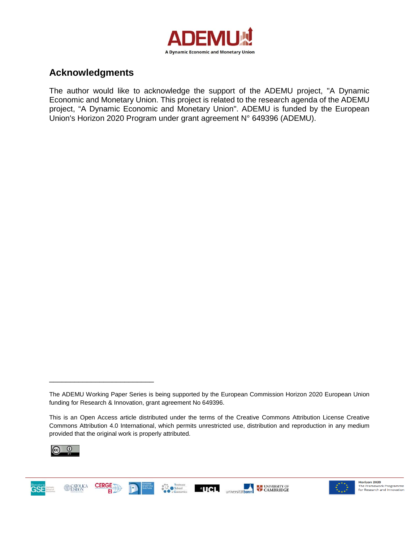

# **Acknowledgments**

The author would like to acknowledge the support of the ADEMU project, "A Dynamic Economic and Monetary Union. This project is related to the research agenda of the ADEMU project, "A Dynamic Economic and Monetary Union". ADEMU is funded by the European Union's Horizon 2020 Program under grant agreement N° 649396 (ADEMU).

This is an Open Access article distributed under the terms of the Creative Commons Attribution License Creative Commons Attribution 4.0 International, which permits unrestricted use, distribution and reproduction in any medium provided that the original work is properly attributed.



\_\_\_\_\_\_\_\_\_\_\_\_\_\_\_\_\_\_\_\_\_\_\_\_\_





The ADEMU Working Paper Series is being supported by the European Commission Horizon 2020 European Union funding for Research & Innovation, grant agreement No 649396.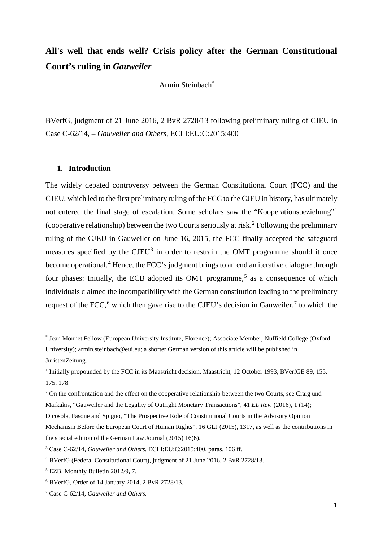# **All's [well](https://dict.leo.org/ende/index_de.html#/search=well&searchLoc=0&resultOrder=basic&multiwordShowSingle=on&pos=0) [that](https://dict.leo.org/ende/index_de.html#/search=that&searchLoc=0&resultOrder=basic&multiwordShowSingle=on&pos=0) [ends](https://dict.leo.org/ende/index_de.html#/search=ends&searchLoc=0&resultOrder=basic&multiwordShowSingle=on&pos=0) well? Crisis policy after the German Constitutional Court's ruling in** *Gauweiler*

Armin Steinbach[\\*](#page-2-0)

BVerfG, judgment of 21 June 2016, 2 BvR 2728/13 following preliminary ruling of CJEU in Case C-62/14, – *Gauweiler and Others*, ECLI:EU:C:2015:400

### **1. Introduction**

 $\overline{a}$ 

The widely debated controversy between the German Constitutional Court (FCC) and the CJEU, which led to the first preliminary ruling of the FCC to the CJEU in history, has ultimately not entered the final stage of escalation. Some scholars saw the "Kooperationsbeziehung"<sup>[1](#page-2-1)</sup> (cooperative relationship) between the two Courts seriously at risk. [2](#page-2-2) Following the preliminary ruling of the CJEU in Gauweiler on June 16, 2015, the FCC finally accepted the safeguard measures specified by the  $CJEU<sup>3</sup>$  $CJEU<sup>3</sup>$  $CJEU<sup>3</sup>$  in order to restrain the OMT programme should it once become operational.<sup>[4](#page-2-4)</sup> Hence, the FCC's judgment brings to an end an iterative dialogue through four phases: Initially, the ECB adopted its OMT programme,<sup>[5](#page-2-5)</sup> as a consequence of which individuals claimed the incompatibility with the German constitution leading to the preliminary request of the FCC,<sup>[6](#page-2-6)</sup> which then gave rise to the CJEU's decision in Gauweiler,<sup>[7](#page-2-7)</sup> to which the

<span id="page-2-0"></span><sup>\*</sup> Jean Monnet Fellow (European University Institute, Florence); Associate Member, Nuffield College (Oxford University); armin.steinbach@eui.eu; a shorter German version of this article will be published in JuristenZeitung.

<span id="page-2-1"></span><sup>&</sup>lt;sup>1</sup> Initially propounded by the FCC in its Maastricht decision, Maastricht, 12 October 1993, BVerfGE 89, 155, 175, 178.

<span id="page-2-2"></span><sup>&</sup>lt;sup>2</sup> On the confrontation and the effect on the cooperative relationship between the two Courts, see Craig und Markakis, "Gauweiler and the Legality of Outright Monetary Transactions", 41 *EL Rev.* (2016), 1 (14);

[Dicosola, Fasone and Spigno,](http://www.germanlawjournal.net/s/PDF_Vol_16_No_06_01-CJEU-Preliminary-References-Foreword.pdf) "The Prospective Role of Constitutional Courts in the Advisory Opinion

Mechanism Before the European Court of Human Rights", 16 GLJ (2015), 1317, as well as the contributions in the special edition of the German Law Journal (2015) 16(6).

<span id="page-2-3"></span><sup>3</sup> Case C-62/14, *Gauweiler and Others*, ECLI:EU:C:2015:400, paras. 106 ff.

<span id="page-2-4"></span><sup>4</sup> BVerfG (Federal Constitutional Court), judgment of 21 June 2016, 2 BvR 2728/13.

<span id="page-2-5"></span><sup>5</sup> EZB, Monthly Bulletin 2012/9, 7.

<span id="page-2-6"></span><sup>6</sup> BVerfG, Order of 14 January 2014, 2 BvR 2728/13.

<span id="page-2-7"></span><sup>7</sup> Case C-62/14, *Gauweiler and Others*.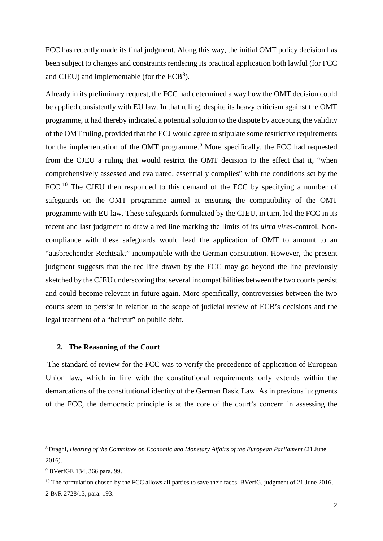FCC has recently made its final judgment. Along this way, the initial OMT policy decision has been subject to changes and constraints rendering its practical application both lawful (for FCC and CJEU) and implementable (for the  $ECB<sup>8</sup>$  $ECB<sup>8</sup>$  $ECB<sup>8</sup>$ ).

Already in its preliminary request, the FCC had determined a way how the OMT decision could be applied consistently with EU law. In that ruling, despite its heavy criticism against the OMT programme, it had thereby indicated a potential solution to the dispute by accepting the validity of the OMT ruling, provided that the ECJ would agree to stipulate some restrictive requirements for the implementation of the OMT programme. [9](#page-3-1) More specifically, the FCC had requested from the CJEU a ruling that would restrict the OMT decision to the effect that it, "when comprehensively assessed and evaluated, essentially complies" with the conditions set by the FCC.<sup>[10](#page-3-2)</sup> The CJEU then responded to this demand of the FCC by specifying a number of safeguards on the OMT programme aimed at ensuring the compatibility of the OMT programme with EU law. These safeguards formulated by the CJEU, in turn, led the FCC in its recent and last judgment to draw a red line marking the limits of its *ultra vires*-control. Noncompliance with these safeguards would lead the application of OMT to amount to an "ausbrechender Rechtsakt" incompatible with the German constitution. However, the present judgment suggests that the red line drawn by the FCC may go beyond the line previously sketched by the CJEU underscoring that several incompatibilities between the two courts persist and could become relevant in future again. More specifically, controversies between the two courts seem to persist in relation to the scope of judicial review of ECB's decisions and the legal treatment of a "haircut" on public debt.

#### **2. The Reasoning of the Court**

The standard of review for the FCC was to verify the precedence of application of European Union law, which in line with the constitutional requirements only extends within the demarcations of the constitutional identity of the German Basic Law. As in previous judgments of the FCC, the democratic principle is at the core of the court's concern in assessing the

<span id="page-3-0"></span><sup>8</sup> Draghi, *Hearing of the Committee on Economic and Monetary Affairs of the European Parliament* (21 June 2016).

<span id="page-3-1"></span><sup>9</sup> BVerfGE 134, [366](https://ezproxy-prd.bodleian.ox.ac.uk:3571/?typ=reference&y=300&b=134&s=366&z=BVERFGE) para. 99.

<span id="page-3-2"></span><sup>&</sup>lt;sup>10</sup> The formulation chosen by the FCC allows all parties to save their faces, BVerfG, judgment of 21 June 2016, 2 BvR 2728/13, para. 193.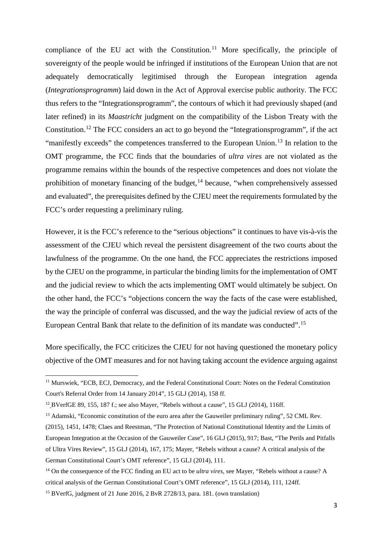compliance of the EU act with the Constitution.<sup>[11](#page-4-0)</sup> More specifically, the principle of sovereignty of the people would be infringed if institutions of the European Union that are not adequately democratically legitimised through the European integration agenda (*Integrationsprogramm*) laid down in the Act of Approval exercise public authority. The FCC thus refers to the "Integrationsprogramm", the contours of which it had previously shaped (and later refined) in its *Maastricht* judgment on the compatibility of the Lisbon Treaty with the Constitution.<sup>[12](#page-4-1)</sup> The FCC considers an act to go beyond the "Integrationsprogramm", if the act "manifestly exceeds" the competences transferred to the European Union.<sup>[13](#page-4-2)</sup> In relation to the OMT programme, the FCC finds that the boundaries of *ultra vires* are not violated as the programme remains within the bounds of the respective competences and does not violate the prohibition of monetary financing of the budget,  $14$  because, "when comprehensively assessed and evaluated", the prerequisites defined by the CJEU meet the requirements formulated by the FCC's order requesting a preliminary ruling.

However, it is the FCC's reference to the "serious objections" it continues to have vis-à-vis the assessment of the CJEU which reveal the persistent disagreement of the two courts about the lawfulness of the programme. On the one hand, the FCC appreciates the restrictions imposed by the CJEU on the programme, in particular the binding limits for the implementation of OMT and the judicial review to which the acts implementing OMT would ultimately be subject. On the other hand, the FCC's "objections concern the way the facts of the case were established, the way the principle of conferral was discussed, and the way the judicial review of acts of the European Central Bank that relate to the definition of its mandate was conducted". [15](#page-4-4)

More specifically, the FCC criticizes the CJEU for not having questioned the monetary policy objective of the OMT measures and for not having taking account the evidence arguing against

<span id="page-4-0"></span><sup>&</sup>lt;sup>11</sup> Murswiek, "ECB, ECJ, Democracy, and the Federal Constitutional Court: Notes on the Federal Constitution Court's Referral Order from 14 January 2014", 15 GLJ (2014), 158 ff.

<span id="page-4-1"></span><sup>&</sup>lt;sup>12</sup> BVerfGE 89, 155, 187 f.; see also Mayer, "Rebels without a cause", 15 GLJ (2014), 116ff.

<span id="page-4-2"></span><sup>&</sup>lt;sup>13</sup> Adamski, "Economic constitution of the euro area after the Gauweiler preliminary ruling", 52 CML Rev.

<sup>(2015), 1451, 1478;</sup> Claes and Reestman, "The Protection of National Constitutional Identity and the Limits of European Integration at the Occasion of the Gauweiler Case", 16 GLJ (2015), 917; Bast, "The Perils and Pitfalls of Ultra Vires Review", 15 GLJ (2014), 167, 175; Mayer, "Rebels without a cause? A critical analysis of the German Constitutional Court's OMT reference", 15 GLJ (2014), 111.

<span id="page-4-3"></span><sup>&</sup>lt;sup>14</sup> On the consequence of the FCC finding an EU act to be *ultra vires*, see Mayer, "Rebels without a cause? A critical analysis of the German Constitutional Court's OMT reference", 15 GLJ (2014), 111, 124ff.

<span id="page-4-4"></span><sup>15</sup> BVerfG, judgment of 21 June 2016, 2 BvR 2728/13, para. 181. (own translation)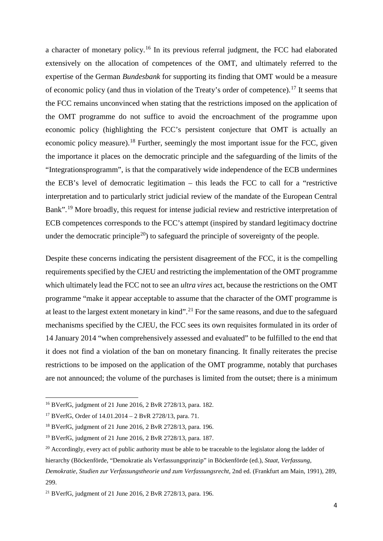a character of monetary policy.[16](#page-5-0) In its previous referral judgment, the FCC had elaborated extensively on the allocation of competences of the OMT, and ultimately referred to the expertise of the German *Bundesbank* for supporting its finding that OMT would be a measure of economic policy (and thus in violation of the Treaty's order of competence).[17](#page-5-1) It seems that the FCC remains unconvinced when stating that the restrictions imposed on the application of the OMT programme do not suffice to avoid the encroachment of the programme upon economic policy (highlighting the FCC's persistent conjecture that OMT is actually an economic policy measure).<sup>[18](#page-5-2)</sup> Further, seemingly the most important issue for the FCC, given the importance it places on the democratic principle and the safeguarding of the limits of the "Integrationsprogramm", is that the comparatively wide independence of the ECB undermines the ECB's level of democratic legitimation – this leads the FCC to call for a "restrictive interpretation and to particularly strict judicial review of the mandate of the European Central Bank".<sup>[19](#page-5-3)</sup> More broadly, this request for intense judicial review and restrictive interpretation of ECB competences corresponds to the FCC's attempt (inspired by standard legitimacy doctrine under the democratic principle<sup>[20](#page-5-4)</sup>) to safeguard the principle of sovereignty of the people.

Despite these concerns indicating the persistent disagreement of the FCC, it is the compelling requirements specified by the CJEU and restricting the implementation of the OMT programme which ultimately lead the FCC not to see an *ultra vires* act, because the restrictions on the OMT programme "make it appear acceptable to assume that the character of the OMT programme is at least to the largest extent monetary in kind".<sup>[21](#page-5-5)</sup> For the same reasons, and due to the safeguard mechanisms specified by the CJEU, the FCC sees its own requisites formulated in its order of 14 January 2014 "when comprehensively assessed and evaluated" to be fulfilled to the end that it does not find a violation of the ban on monetary financing. It finally reiterates the precise restrictions to be imposed on the application of the OMT programme, notably that purchases are not announced; the volume of the purchases is limited from the outset; there is a minimum

<span id="page-5-0"></span><sup>16</sup> BVerfG, judgment of 21 June 2016, 2 BvR 2728/13, para. 182.

<span id="page-5-1"></span><sup>&</sup>lt;sup>17</sup> BVerfG, Order of  $14.01.2014 - 2$  BvR 2728/13, para. 71.

<span id="page-5-2"></span><sup>18</sup> BVerfG, judgment of 21 June 2016, 2 BvR 2728/13, para. 196.

<span id="page-5-3"></span><sup>19</sup> BVerfG, judgment of 21 June 2016, 2 BvR 2728/13, para. 187.

<span id="page-5-4"></span><sup>&</sup>lt;sup>20</sup> Accordingly, every act of public authority must be able to be traceable to the legislator along the ladder of

hierarchy (Böckenförde, "Demokratie als Verfassungsprinzip" in Böckenförde (ed.), *Staat, Verfassung,* 

*Demokratie, Studien zur Verfassungstheorie und zum Verfassungsrecht*, 2nd ed. (Frankfurt am Main, 1991), 289, 299.

<span id="page-5-5"></span><sup>&</sup>lt;sup>21</sup> BVerfG, judgment of 21 June 2016, 2 BvR 2728/13, para. 196.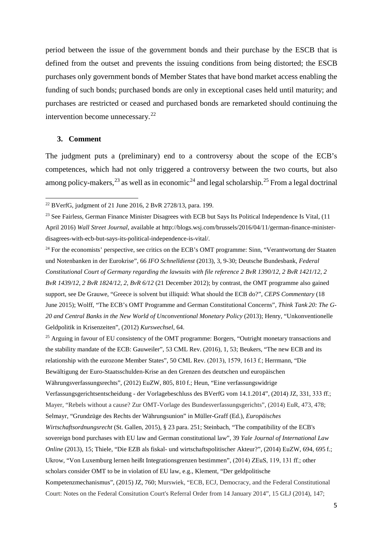period between the issue of the government bonds and their purchase by the ESCB that is defined from the outset and prevents the issuing conditions from being distorted; the ESCB purchases only government bonds of Member States that have bond market access enabling the funding of such bonds; purchased bonds are only in exceptional cases held until maturity; and purchases are restricted or ceased and purchased bonds are remarketed should continuing the intervention become unnecessary.[22](#page-6-0)

#### **3. Comment**

 $\overline{a}$ 

The judgment puts a (preliminary) end to a controversy about the scope of the ECB's competences, which had not only triggered a controversy between the two courts, but also among policy-makers,<sup>[23](#page-6-1)</sup> as well as in economic<sup>[24](#page-6-2)</sup> and legal scholarship.<sup>[25](#page-6-3)</sup> From a legal doctrinal

<span id="page-6-3"></span><sup>25</sup> Arguing in favour of EU consistency of the OMT programme: Borgers, "Outright monetary transactions and the stability mandate of the ECB: Gauweiler", 53 CML Rev. (2016), 1, 53; Beukers, "The new ECB and its relationship with the eurozone Member States", 50 CML Rev. (2013), 1579, 1613 f.; Herrmann, "Die Bewältigung der Euro-Staatsschulden-Krise an den Grenzen des deutschen und europäischen Währungsverfassungsrechts", (2012) EuZW, 805, 810 f.; Heun, "Eine verfassungswidrige Verfassungsgerichtsentscheidung - der Vorlagebeschluss des BVerfG vom 14.1.2014", (2014) JZ, 331, 333 ff.; Mayer, "Rebels without a cause? Zur OMT-Vorlage des Bundesverfassungsgerichts", (2014) EuR, 473, 478; Selmayr, "Grundzüge des Rechts der Währungsunion" in Müller-Graff (Ed.), *Europäisches Wirtschaftsordnungsrecht* (St. Gallen, 2015), § 23 para. 251; Steinbach, "The compatibility of the ECB's sovereign bond purchases with EU law and German constitutional law", 39 *Yale Journal of International Law Online* (2013), 15; Thiele, "Die EZB als fiskal- und wirtschaftspolitischer Akteur?", (2014) EuZW, 694, 695 f.; Ukrow, "Von Luxemburg lernen heißt Integrationsgrenzen bestimmen", (2014) ZEuS, 119, 131 ff.; other scholars consider OMT to be in violation of EU law, e.g., Klement, "Der geldpolitische Kompetenzmechanismus", (2015) JZ, 760; Murswiek, "ECB, ECJ, Democracy, and the Federal Constitutional Court: Notes on the Federal Consitution Court's Referral Order from 14 January 2014", 15 GLJ (2014), 147;

<span id="page-6-0"></span><sup>22</sup> BVerfG, judgment of 21 June 2016, 2 BvR 2728/13, para. 199.

<span id="page-6-1"></span><sup>&</sup>lt;sup>23</sup> See Fairless, German Finance Minister Disagrees with ECB but Says Its Political Independence Is Vital, (11) April 2016) *Wall Street Journal*, available at http://blogs.wsj.com/brussels/2016/04/11/german-finance-ministerdisagrees-with-ecb-but-says-its-political-independence-is-vital/.

<span id="page-6-2"></span><sup>&</sup>lt;sup>24</sup> For the economists' perspective, see critics on the ECB's OMT programme: Sinn, "Verantwortung der Staaten und Notenbanken in der Eurokrise", 66 *IFO Schnelldienst* (2013), 3, 9-30; Deutsche Bundesbank, *Federal Constitutional Court of Germany regarding the lawsuits with file reference 2 BvR 1390/12, 2 BvR 1421/12, 2 BvR 1439/12, 2 BvR 1824/12, 2, BvR 6/12* (21 December 2012); by contrast, the OMT programme also gained support, see De Grauwe, "Greece is solvent but illiquid: What should the ECB do?", *CEPS Commentary* (18 June 2015); Wolff, "The ECB's OMT Programme and German Constitutional Concerns", *Think Tank 20: The G-20 and Central Banks in the New World of Unconventional Monetary Policy* (2013); Henry, "Unkonventionelle Geldpolitik in Krisenzeiten", (2012) *Kurswechsel*, 64.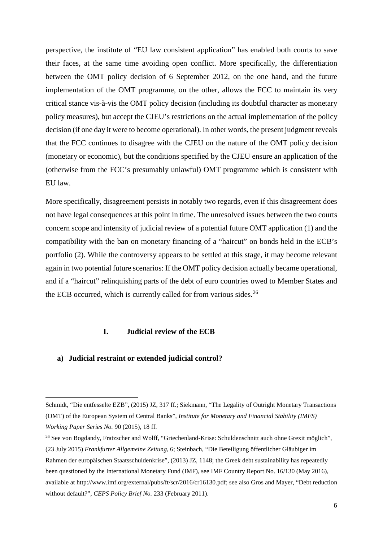perspective, the institute of "EU law consistent application" has enabled both courts to save their faces, at the same time avoiding open conflict. More specifically, the differentiation between the OMT policy decision of 6 September 2012, on the one hand, and the future implementation of the OMT programme, on the other, allows the FCC to maintain its very critical stance vis-à-vis the OMT policy decision (including its doubtful character as monetary policy measures), but accept the CJEU's restrictions on the actual implementation of the policy decision (if one day it were to become operational). In other words, the present judgment reveals that the FCC continues to disagree with the CJEU on the nature of the OMT policy decision (monetary or economic), but the conditions specified by the CJEU ensure an application of the (otherwise from the FCC's presumably unlawful) OMT programme which is consistent with EU law.

More specifically, disagreement persists in notably two regards, even if this disagreement does not have legal consequences at this point in time. The unresolved issues between the two courts concern scope and intensity of judicial review of a potential future OMT application (1) and the compatibility with the ban on monetary financing of a "haircut" on bonds held in the ECB's portfolio (2). While the controversy appears to be settled at this stage, it may become relevant again in two potential future scenarios: If the OMT policy decision actually became operational, and if a "haircut" relinquishing parts of the debt of euro countries owed to Member States and the ECB occurred, which is currently called for from various sides.<sup>[26](#page-7-0)</sup>

# **I. Judicial review of the ECB**

#### **a) Judicial restraint or extended judicial control?**

Schmidt, "Die entfesselte EZB", (2015) JZ, 317 ff.; Siekmann, "The Legality of Outright Monetary Transactions (OMT) of the European System of Central Banks", *Institute for Monetary and Financial Stability (IMFS) Working Paper Series No.* 90 (2015), 18 ff.

<span id="page-7-0"></span><sup>26</sup> See von Bogdandy, Fratzscher and Wolff, "Griechenland-Krise: Schuldenschnitt auch ohne Grexit möglich", (23 July 2015) *Frankfurter Allgemeine Zeitung*, 6; Steinbach, "Die Beteiligung öffentlicher Gläubiger im Rahmen der europäischen Staatsschuldenkrise", (2013) JZ, 1148; the Greek debt sustainability has repeatedly been questioned by the International Monetary Fund (IMF), see IMF Country Report No. 16/130 (May 2016), available at http://www.imf.org/external/pubs/ft/scr/2016/cr16130.pdf; see also Gros and Mayer, "Debt reduction without default?", *CEPS Policy Brief No.* 233 (February 2011).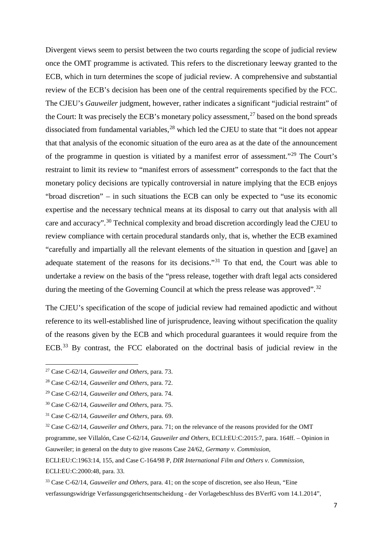Divergent views seem to persist between the two courts regarding the scope of judicial review once the OMT programme is activated. This refers to the discretionary leeway granted to the ECB, which in turn determines the scope of judicial review. A comprehensive and substantial review of the ECB's decision has been one of the central requirements specified by the FCC. The CJEU's *Gauweiler* judgment, however, rather indicates a significant "judicial restraint" of the Court: It was precisely the ECB's monetary policy assessment, $^{27}$  $^{27}$  $^{27}$  based on the bond spreads dissociated from fundamental variables,<sup>[28](#page-8-1)</sup> which led the CJEU to state that "it does not appear that that analysis of the economic situation of the euro area as at the date of the announcement of the programme in question is vitiated by a manifest error of assessment."[29](#page-8-2) The Court's restraint to limit its review to "manifest errors of assessment" corresponds to the fact that the monetary policy decisions are typically controversial in nature implying that the ECB enjoys "broad discretion" – in such situations the ECB can only be expected to "use its economic expertise and the necessary technical means at its disposal to carry out that analysis with all care and accuracy".<sup>[30](#page-8-3)</sup> Technical complexity and broad discretion accordingly lead the CJEU to review compliance with certain procedural standards only, that is, whether the ECB examined "carefully and impartially all the relevant elements of the situation in question and [gave] an adequate statement of the reasons for its decisions."<sup>[31](#page-8-4)</sup> To that end, the Court was able to undertake a review on the basis of the "press release, together with draft legal acts considered during the meeting of the Governing Council at which the press release was approved".<sup>[32](#page-8-5)</sup>

The CJEU's specification of the scope of judicial review had remained apodictic and without reference to its well-established line of jurisprudence, leaving without specification the quality of the reasons given by the ECB and which procedural guarantees it would require from the ECB.<sup>[33](#page-8-6)</sup> By contrast, the FCC elaborated on the doctrinal basis of judicial review in the

<span id="page-8-0"></span><sup>27</sup> Case C-62/14, *Gauweiler and Others*, para. 73.

<span id="page-8-1"></span><sup>28</sup> Case C-62/14, *Gauweiler and Others*, para. 72.

<span id="page-8-2"></span><sup>29</sup> Case C-62/14, *Gauweiler and Others*, para. 74.

<span id="page-8-3"></span><sup>30</sup> Case C-62/14, *Gauweiler and Others*, para. 75.

<span id="page-8-4"></span><sup>31</sup> Case C-62/14, *Gauweiler and Others*, para. 69.

<span id="page-8-5"></span><sup>32</sup> Case C-62/14, *Gauweiler and Others*, para. 71; on the relevance of the reasons provided for the OMT programme, see Villalón, Case C-62/14, *Gauweiler and Others*, ECLI:EU:C:2015:7, para. 164ff. – Opinion in Gauweiler; in general on the duty to give reasons Case 24/62, *Germany v. Commission,* ECLI:EU:C:1963:14, 155, and Case C-164/98 P, *DIR International Film and Others v. Commission*, ECLI:EU:C:2000:48, para. 33.

<span id="page-8-6"></span><sup>33</sup> Case C-62/14, *Gauweiler and Others*, para. 41; on the scope of discretion, see also Heun, "Eine verfassungswidrige Verfassungsgerichtsentscheidung - der Vorlagebeschluss des BVerfG vom 14.1.2014",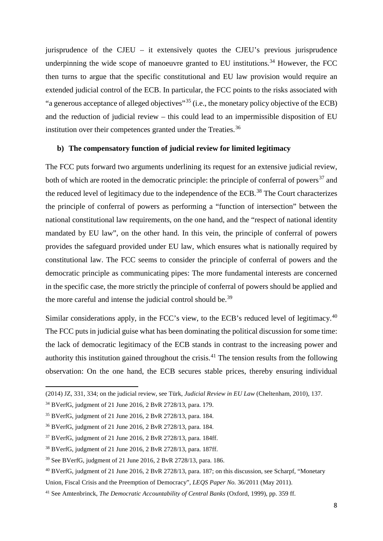jurisprudence of the CJEU – it extensively quotes the CJEU's previous jurisprudence underpinning the wide scope of manoeuvre granted to EU institutions.<sup>[34](#page-9-0)</sup> However, the FCC then turns to argue that the specific constitutional and EU law provision would require an extended judicial control of the ECB. In particular, the FCC points to the risks associated with "a generous acceptance of alleged objectives"<sup>[35](#page-9-1)</sup> (i.e., the monetary policy objective of the ECB) and the reduction of judicial review – this could lead to an impermissible disposition of EU institution over their competences granted under the Treaties.<sup>[36](#page-9-2)</sup>

# **b) The compensatory function of judicial review for limited legitimacy**

The FCC puts forward two arguments underlining its request for an extensive judicial review, both of which are rooted in the democratic principle: the principle of conferral of powers<sup>[37](#page-9-3)</sup> and the reduced level of legitimacy due to the independence of the ECB.<sup>[38](#page-9-4)</sup> The Court characterizes the principle of conferral of powers as performing a "function of intersection" between the national constitutional law requirements, on the one hand, and the "respect of national identity mandated by EU law", on the other hand. In this vein, the principle of conferral of powers provides the safeguard provided under EU law, which ensures what is nationally required by constitutional law. The FCC seems to consider the principle of conferral of powers and the democratic principle as communicating pipes: The more fundamental interests are concerned in the specific case, the more strictly the principle of conferral of powers should be applied and the more careful and intense the judicial control should be.<sup>[39](#page-9-5)</sup>

Similar considerations apply, in the FCC's view, to the ECB's reduced level of legitimacy.<sup>[40](#page-9-6)</sup> The FCC puts in judicial guise what has been dominating the political discussion for some time: the lack of democratic legitimacy of the ECB stands in contrast to the increasing power and authority this institution gained throughout the crisis.<sup>[41](#page-9-7)</sup> The tension results from the following observation: On the one hand, the ECB secures stable prices, thereby ensuring individual

<sup>(2014)</sup> JZ, 331, 334; on the judicial review, see Türk, *Judicial Review in EU Law* (Cheltenham, 2010), 137.

<span id="page-9-0"></span><sup>34</sup> BVerfG, judgment of 21 June 2016, 2 BvR 2728/13, para. 179.

<span id="page-9-1"></span><sup>35</sup> BVerfG, judgment of 21 June 2016, 2 BvR 2728/13, para. 184.

<span id="page-9-2"></span><sup>36</sup> BVerfG, judgment of 21 June 2016, 2 BvR 2728/13, para. 184.

<span id="page-9-3"></span><sup>37</sup> BVerfG, judgment of 21 June 2016, 2 BvR 2728/13, para. 184ff.

<span id="page-9-4"></span><sup>38</sup> BVerfG, judgment of 21 June 2016, 2 BvR 2728/13, para. 187ff.

<span id="page-9-5"></span><sup>39</sup> See BVerfG, judgment of 21 June 2016, 2 BvR 2728/13, para. 186.

<span id="page-9-6"></span><sup>40</sup> BVerfG, judgment of 21 June 2016, 2 BvR 2728/13, para. 187; on this discussion, see Scharpf, "Monetary

Union, Fiscal Crisis and the Preemption of Democracy", *LEQS Paper No.* 36/2011 (May 2011).

<span id="page-9-7"></span><sup>41</sup> See Amtenbrinck, *The Democratic Accountability of Central Banks* (Oxford, 1999), pp. 359 ff.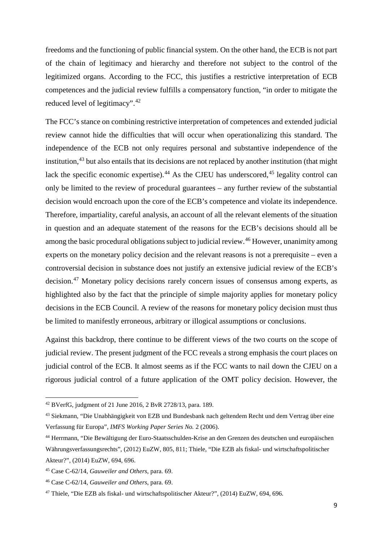freedoms and the functioning of public financial system. On the other hand, the ECB is not part of the chain of legitimacy and hierarchy and therefore not subject to the control of the legitimized organs. According to the FCC, this justifies a restrictive interpretation of ECB competences and the judicial review fulfills a compensatory function, "in order to mitigate the reduced level of legitimacy".[42](#page-10-0)

The FCC's stance on combining restrictive interpretation of competences and extended judicial review cannot hide the difficulties that will occur when operationalizing this standard. The independence of the ECB not only requires personal and substantive independence of the institution, <sup>[43](#page-10-1)</sup> but also entails that its decisions are not replaced by another institution (that might lack the specific economic expertise).<sup>[44](#page-10-2)</sup> As the CJEU has underscored,<sup>[45](#page-10-3)</sup> legality control can only be limited to the review of procedural guarantees – any further review of the substantial decision would encroach upon the core of the ECB's competence and violate its independence. Therefore, impartiality, careful analysis, an account of all the relevant elements of the situation in question and an adequate statement of the reasons for the ECB's decisions should all be among the basic procedural obligations subject to judicial review.<sup>[46](#page-10-4)</sup> However, unanimity among experts on the monetary policy decision and the relevant reasons is not a prerequisite – even a controversial decision in substance does not justify an extensive judicial review of the ECB's decision.[47](#page-10-5) Monetary policy decisions rarely concern issues of consensus among experts, as highlighted also by the fact that the principle of simple majority applies for monetary policy decisions in the ECB Council. A review of the reasons for monetary policy decision must thus be limited to manifestly erroneous, arbitrary or illogical assumptions or conclusions.

Against this backdrop, there continue to be different views of the two courts on the scope of judicial review. The present judgment of the FCC reveals a strong emphasis the court places on judicial control of the ECB. It almost seems as if the FCC wants to nail down the CJEU on a rigorous judicial control of a future application of the OMT policy decision. However, the

<span id="page-10-0"></span><sup>42</sup> BVerfG, judgment of 21 June 2016, 2 BvR 2728/13, para. 189.

<span id="page-10-1"></span><sup>43</sup> Siekmann, "Die Unabhängigkeit von EZB und Bundesbank nach geltendem Recht und dem Vertrag über eine Verfassung für Europa", *IMFS Working Paper Series No.* 2 (2006).

<span id="page-10-2"></span><sup>44</sup> Herrmann, "Die Bewältigung der Euro-Staatsschulden-Krise an den Grenzen des deutschen und europäischen Währungsverfassungsrechts", (2012) EuZW, 805, 811; Thiele, "Die EZB als fiskal- und wirtschaftspolitischer Akteur?", (2014) EuZW, 694, 696.

<span id="page-10-3"></span><sup>45</sup> Case C-62/14, *Gauweiler and Others*, para. 69.

<span id="page-10-4"></span><sup>46</sup> Case C-62/14, *Gauweiler and Others*, para. 69.

<span id="page-10-5"></span><sup>47</sup> Thiele, "Die EZB als fiskal- und wirtschaftspolitischer Akteur?", (2014) EuZW, 694, 696.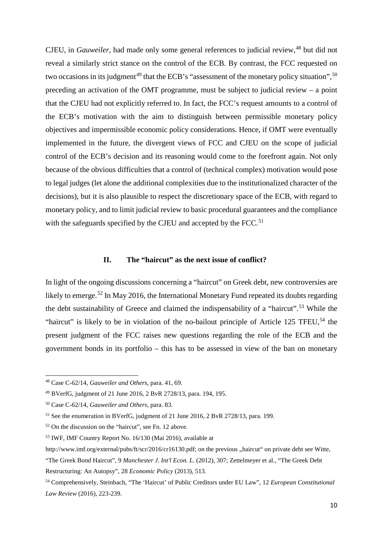CJEU, in *Gauweiler*, had made only some general references to judicial review, [48](#page-11-0) but did not reveal a similarly strict stance on the control of the ECB. By contrast, the FCC requested on two occasions in its judgment<sup>[49](#page-11-1)</sup> that the ECB's "assessment of the monetary policy situation",  $50$ preceding an activation of the OMT programme, must be subject to judicial review – a point that the CJEU had not explicitly referred to. In fact, the FCC's request amounts to a control of the ECB's motivation with the aim to distinguish between permissible monetary policy objectives and impermissible economic policy considerations. Hence, if OMT were eventually implemented in the future, the divergent views of FCC and CJEU on the scope of judicial control of the ECB's decision and its reasoning would come to the forefront again. Not only because of the obvious difficulties that a control of (technical complex) motivation would pose to legal judges (let alone the additional complexities due to the institutionalized character of the decisions), but it is also plausible to respect the discretionary space of the ECB, with regard to monetary policy, and to limit judicial review to basic procedural guarantees and the compliance with the safeguards specified by the CJEU and accepted by the FCC.<sup>[51](#page-11-3)</sup>

### **II. The "haircut" as the next issue of conflict?**

In light of the ongoing discussions concerning a "haircut" on Greek debt, new controversies are likely to emerge.<sup>[52](#page-11-4)</sup> In May 2016, the International Monetary Fund repeated its doubts regarding the debt sustainability of Greece and claimed the indispensability of a "haircut". [53](#page-11-5) While the "haircut" is likely to be in violation of the no-bailout principle of Article 125 TFEU,<sup>[54](#page-11-6)</sup> the present judgment of the FCC raises new questions regarding the role of the ECB and the government bonds in its portfolio – this has to be assessed in view of the ban on monetary

<span id="page-11-0"></span><sup>48</sup> Case C-62/14, *Gauweiler and Others*, para. 41, 69.

<span id="page-11-1"></span><sup>49</sup> BVerfG, judgment of 21 June 2016, 2 BvR 2728/13, para. 194, 195.

<span id="page-11-2"></span><sup>50</sup> Case C-62/14, *Gauweiler and Others*, para. 83.

<span id="page-11-3"></span><sup>51</sup> See the enumeration in BVerfG, judgment of 21 June 2016, 2 BvR 2728/13, para. 199.

<span id="page-11-4"></span><sup>52</sup> On the discussion on the "haircut", see Fn. 12 above.

<span id="page-11-5"></span><sup>53</sup> IWF, IMF Country Report No. 16/130 (Mai 2016), available at

http://www.imf.org/external/pubs/ft/scr/2016/cr16130.pdf; on the previous "haircut" on private debt see Witte,

<sup>&</sup>quot;The Greek Bond Haircut", 9 *Manchester J. Int'l Econ. L.* (2012), 307; Zettelmeyer et al., "The Greek Debt Restructuring: An Autopsy", 28 *Economic Policy* (2013), 513.

<span id="page-11-6"></span><sup>54</sup> Comprehensively, Steinbach, "The 'Haircut' of Public Creditors under EU Law", 12 *European Constitutional Law Review* (2016), 223-239.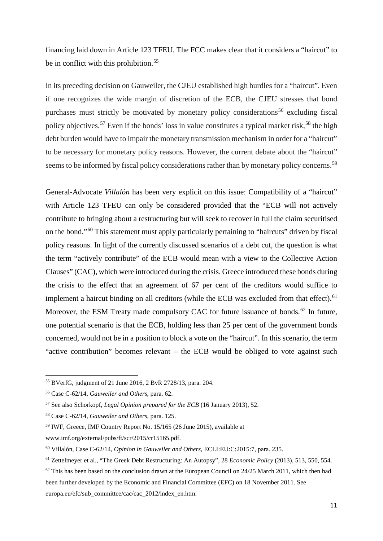financing laid down in Article 123 TFEU. The FCC makes clear that it considers a "haircut" to be in conflict with this prohibition.<sup>[55](#page-12-0)</sup>

In its preceding decision on Gauweiler, the CJEU established high hurdles for a "haircut". Even if one recognizes the wide margin of discretion of the ECB, the CJEU stresses that bond purchases must strictly be motivated by monetary policy considerations<sup>[56](#page-12-1)</sup> excluding fiscal policy objectives.<sup>[57](#page-12-2)</sup> Even if the bonds' loss in value constitutes a typical market risk,<sup>[58](#page-12-3)</sup> the high debt burden would have to impair the monetary transmission mechanism in order for a "haircut" to be necessary for monetary policy reasons. However, the current debate about the "haircut" seems to be informed by fiscal policy considerations rather than by monetary policy concerns.<sup>[59](#page-12-4)</sup>

General-Advocate *Villalón* has been very explicit on this issue: Compatibility of a "haircut" with Article 123 TFEU can only be considered provided that the "ECB will not actively contribute to bringing about a restructuring but will seek to recover in full the claim securitised on the bond."[60](#page-12-5) This statement must apply particularly pertaining to "haircuts" driven by fiscal policy reasons. In light of the currently discussed scenarios of a debt cut, the question is what the term "actively contribute" of the ECB would mean with a view to the Collective Action Clauses" (CAC), which were introduced during the crisis. Greece introduced these bonds during the crisis to the effect that an agreement of 67 per cent of the creditors would suffice to implement a haircut binding on all creditors (while the ECB was excluded from that effect).<sup>[61](#page-12-6)</sup> Moreover, the ESM Treaty made compulsory CAC for future issuance of bonds.<sup>[62](#page-12-7)</sup> In future, one potential scenario is that the ECB, holding less than 25 per cent of the government bonds concerned, would not be in a position to block a vote on the "haircut". In this scenario, the term "active contribution" becomes relevant – the ECB would be obliged to vote against such

<span id="page-12-0"></span><sup>55</sup> BVerfG, judgment of 21 June 2016, 2 BvR 2728/13, para. 204.

<span id="page-12-1"></span><sup>56</sup> Case C-62/14, *Gauweiler and Others*, para. 62.

<span id="page-12-2"></span><sup>57</sup> See also Schorkopf, *Legal Opinion prepared for the ECB* (16 January 2013), 52.

<span id="page-12-3"></span><sup>58</sup> Case C-62/14, *Gauweiler and Others*, para. 125.

<span id="page-12-4"></span><sup>59</sup> IWF, Greece, IMF Country Report No. 15/165 (26 June 2015), available at

www.imf.org/external/pubs/ft/scr/2015/cr15165.pdf.

<span id="page-12-5"></span><sup>60</sup> Villalón, Case C-62/14, *Opinion in Gauweiler and Others*, ECLI:EU:C:2015:7, para. 235.

<span id="page-12-6"></span><sup>61</sup> Zettelmeyer et al., "The Greek Debt Restructuring: An Autopsy", 28 *Economic Policy* (2013), 513, 550, 554.

<span id="page-12-7"></span> $62$  This has been based on the conclusion drawn at the European Council on 24/25 March 2011, which then had been further developed by the Economic and Financial Committee (EFC) on 18 November 2011. See europa.eu/efc/sub\_committee/cac/cac\_2012/index\_en.htm.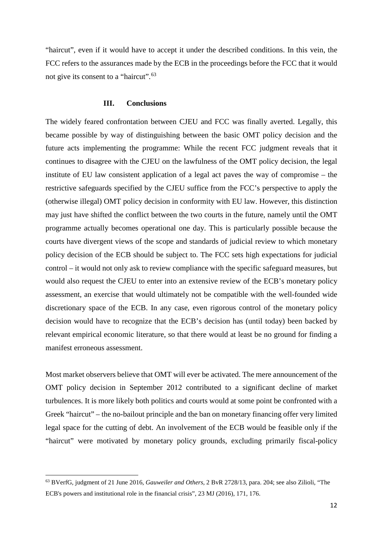"haircut", even if it would have to accept it under the described conditions. In this vein, the FCC refers to the assurances made by the ECB in the proceedings before the FCC that it would not give its consent to a "haircut". [63](#page-13-0)

## **III. Conclusions**

The widely feared confrontation between CJEU and FCC was finally averted. Legally, this became possible by way of distinguishing between the basic OMT policy decision and the future acts implementing the programme: While the recent FCC judgment reveals that it continues to disagree with the CJEU on the lawfulness of the OMT policy decision, the legal institute of EU law consistent application of a legal act paves the way of compromise – the restrictive safeguards specified by the CJEU suffice from the FCC's perspective to apply the (otherwise illegal) OMT policy decision in conformity with EU law. However, this distinction may just have shifted the conflict between the two courts in the future, namely until the OMT programme actually becomes operational one day. This is particularly possible because the courts have divergent views of the scope and standards of judicial review to which monetary policy decision of the ECB should be subject to. The FCC sets high expectations for judicial control – it would not only ask to review compliance with the specific safeguard measures, but would also request the CJEU to enter into an extensive review of the ECB's monetary policy assessment, an exercise that would ultimately not be compatible with the well-founded wide discretionary space of the ECB. In any case, even rigorous control of the monetary policy decision would have to recognize that the ECB's decision has (until today) been backed by relevant empirical economic literature, so that there would at least be no ground for finding a manifest erroneous assessment.

Most market observers believe that OMT will ever be activated. The mere announcement of the OMT policy decision in September 2012 contributed to a significant decline of market turbulences. It is more likely both politics and courts would at some point be confronted with a Greek "haircut" – the no-bailout principle and the ban on monetary financing offer very limited legal space for the cutting of debt. An involvement of the ECB would be feasible only if the "haircut" were motivated by monetary policy grounds, excluding primarily fiscal-policy

<span id="page-13-0"></span><sup>63</sup> BVerfG, judgment of 21 June 2016, *Gauweiler and Others*, 2 BvR 2728/13, para. 204; see also Zilioli, "The ECB's powers and institutional role in the financial crisis", 23 MJ (2016), 171, 176.